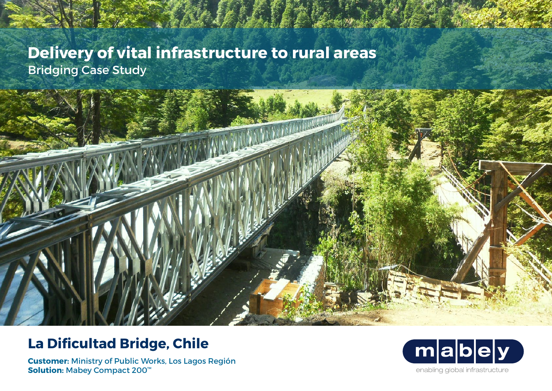# **Delivery of vital infrastructure to rural areas** Bridging Case Study

# **La Dificultad Bridge, Chile**

**Customer:** Ministry of Public Works, Los Lagos Región **Solution:** Mabey Compact 200™